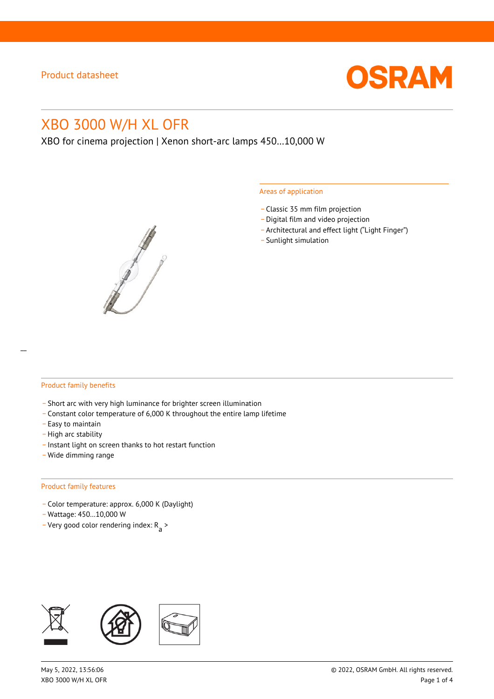

# XBO 3000 W/H XL OFR

XBO for cinema projection | Xenon short-arc lamps 450…10,000 W



#### Areas of application

- \_ Classic 35 mm film projection
- \_ Digital film and video projection
- \_ Architectural and effect light ("Light Finger")
- Sunlight simulation

#### Product family benefits

- \_ Short arc with very high luminance for brighter screen illumination
- \_ Constant color temperature of 6,000 K throughout the entire lamp lifetime
- \_ Easy to maintain
- High arc stability
- \_ Instant light on screen thanks to hot restart function
- \_ Wide dimming range

#### Product family features

- \_ Color temperature: approx. 6,000 K (Daylight)
- \_ Wattage: 450…10,000 W
- Very good color rendering index:  $R_{\text{a}}$  >

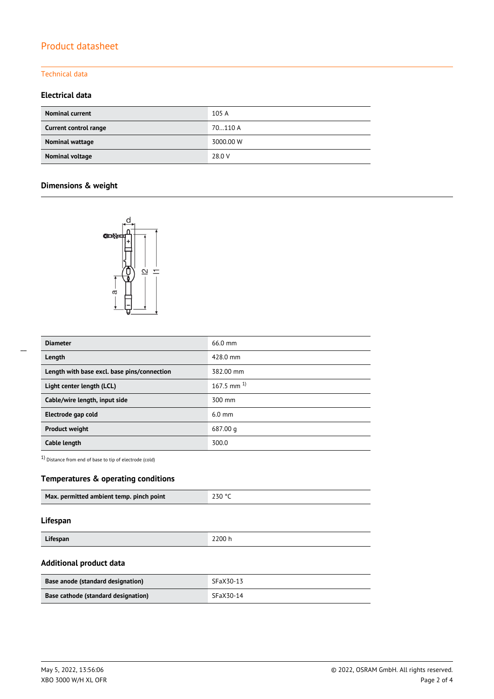# Product datasheet

# Technical data

### **Electrical data**

| <b>Nominal current</b> | 105A      |
|------------------------|-----------|
| Current control range  | 70110 A   |
| Nominal wattage        | 3000.00 W |
| Nominal voltage        | 28.0 V    |

# **Dimensions & weight**



| <b>Diameter</b>                             | 66.0 mm           |
|---------------------------------------------|-------------------|
| Length                                      | 428.0 mm          |
| Length with base excl. base pins/connection | 382.00 mm         |
| Light center length (LCL)                   | $167.5$ mm $^{1}$ |
| Cable/wire length, input side               | 300 mm            |
| Electrode gap cold                          | $6.0 \text{ mm}$  |
| <b>Product weight</b>                       | 687.00 g          |
| Cable length                                | 300.0             |

1) Distance from end of base to tip of electrode (cold)

# **Temperatures & operating conditions**

| Max. permitted ambient temp. pinch point | 230 °C |
|------------------------------------------|--------|
|                                          |        |

#### **Lifespan**

| 200h<br><b>'ifesnan</b><br><u>encapun</u><br>$- - - - - -$ |  |
|------------------------------------------------------------|--|

# **Additional product data**

| <b>Base anode (standard designation)</b> | SFaX30-13 |
|------------------------------------------|-----------|
| Base cathode (standard designation)      | SFaX30-14 |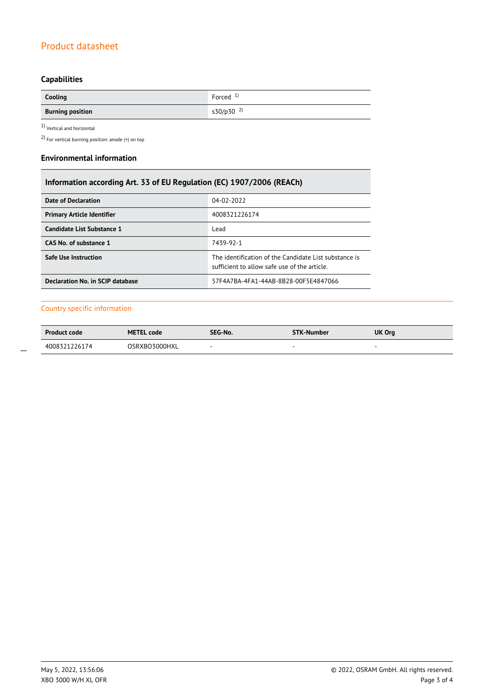# Product datasheet

# **Capabilities**

| Cooling                        | Forced $1$            |
|--------------------------------|-----------------------|
| <b>Burning position</b><br>$-$ | s30/p30 <sup>2)</sup> |

 $1$ Vertical and horizontal  $\,$ 

2) For vertical burning position: anode (+) on top

#### **Environmental information**

| Information according Art. 33 of EU Regulation (EC) 1907/2006 (REACh) |                                                                                                       |  |  |
|-----------------------------------------------------------------------|-------------------------------------------------------------------------------------------------------|--|--|
| Date of Declaration                                                   | 04-02-2022                                                                                            |  |  |
| <b>Primary Article Identifier</b>                                     | 4008321226174                                                                                         |  |  |
| Candidate List Substance 1                                            | Lead                                                                                                  |  |  |
| CAS No. of substance 1                                                | 7439-92-1                                                                                             |  |  |
| <b>Safe Use Instruction</b>                                           | The identification of the Candidate List substance is<br>sufficient to allow safe use of the article. |  |  |
| Declaration No. in SCIP database                                      | 57F4A7BA-4FA1-44AB-8B28-00F5E4847066                                                                  |  |  |

### Country specific information

| <b>Product code</b> | <b>METEL code</b> | SEG-No. | <b>STK-Number</b> | UK Org |
|---------------------|-------------------|---------|-------------------|--------|
| 4008321226174       | OSRXBO3000HXL     |         |                   |        |